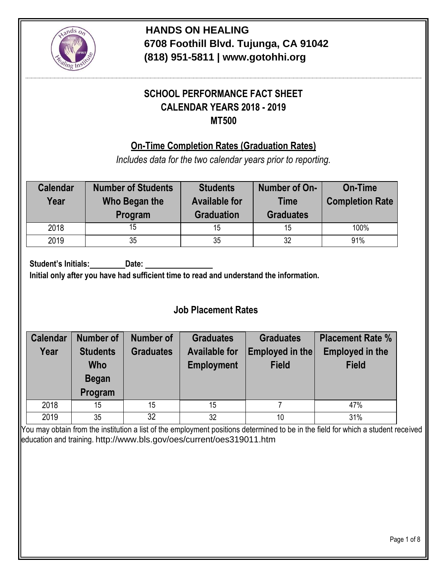

# **SCHOOL PERFORMANCE FACT SHEET CALENDAR YEARS 2018 - 2019 MT500**

#### **On-Time Completion Rates (Graduation Rates)**

*Includes data for the two calendar years prior to reporting.*

| <b>Calendar</b><br>Year | <b>Number of Students</b><br>Who Began the<br>Program | <b>Students</b><br><b>Available for</b><br><b>Graduation</b> | Number of On-<br><b>Time</b><br><b>Graduates</b> | <b>On-Time</b><br><b>Completion Rate</b> |
|-------------------------|-------------------------------------------------------|--------------------------------------------------------------|--------------------------------------------------|------------------------------------------|
| 2018                    | 15                                                    | 15                                                           | 15                                               | 100%                                     |
| 2019                    | 35                                                    | 35                                                           | 32                                               | 91%                                      |

**Student's Initials:** Date:

**Initial only after you have had sufficient time to read and understand the information.**

#### **Job Placement Rates**

| <b>Calendar</b> | <b>Number of</b>                    | <b>Number of</b> | <b>Graduates</b>                        | <b>Graduates</b> | <b>Placement Rate %</b> |  |
|-----------------|-------------------------------------|------------------|-----------------------------------------|------------------|-------------------------|--|
| Year            | <b>Students</b><br><b>Graduates</b> |                  | Employed in the<br><b>Available for</b> |                  | <b>Employed in the</b>  |  |
|                 | <b>Who</b>                          |                  | <b>Employment</b>                       | <b>Field</b>     | <b>Field</b>            |  |
|                 | <b>Began</b>                        |                  |                                         |                  |                         |  |
|                 | Program                             |                  |                                         |                  |                         |  |
| 2018            | 15                                  | 15               | 15                                      |                  | 47%                     |  |
| 2019            | 35                                  | 32               | 32                                      | 10               | 31%                     |  |

You may obtain from the institution a list of the employment positions determined to be in the field for which a student received education and training. <http://www.bls.gov/oes/current/oes319011.htm>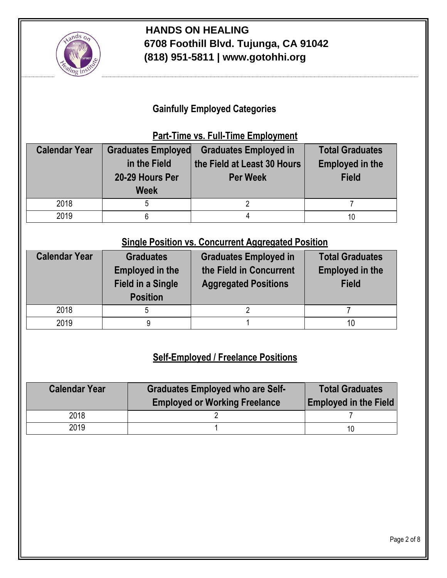

### **Gainfully Employed Categories**

#### **Part-Time vs. Full-Time Employment**

| <b>Calendar Year</b> | <b>Graduates Employed</b><br>in the Field<br>20-29 Hours Per<br><b>Week</b> | <b>Graduates Employed in</b><br>the Field at Least 30 Hours<br><b>Per Week</b> | <b>Total Graduates</b><br><b>Employed in the</b><br><b>Field</b> |
|----------------------|-----------------------------------------------------------------------------|--------------------------------------------------------------------------------|------------------------------------------------------------------|
| 2018                 |                                                                             |                                                                                |                                                                  |
| 2019                 |                                                                             |                                                                                |                                                                  |

#### **Single Position vs. Concurrent Aggregated Position**

| <b>Calendar Year</b> | <b>Graduates</b><br><b>Employed in the</b><br><b>Field in a Single</b><br><b>Position</b> | <b>Graduates Employed in</b><br>the Field in Concurrent<br><b>Aggregated Positions</b> | <b>Total Graduates</b><br><b>Employed in the</b><br><b>Field</b> |
|----------------------|-------------------------------------------------------------------------------------------|----------------------------------------------------------------------------------------|------------------------------------------------------------------|
| 2018                 | 5                                                                                         |                                                                                        |                                                                  |
| 2019                 | 9                                                                                         |                                                                                        |                                                                  |

## **Self-Employed / Freelance Positions**

| <b>Calendar Year</b> | <b>Graduates Employed who are Self-</b><br><b>Employed or Working Freelance</b> | <b>Total Graduates</b><br><b>Employed in the Field</b> |  |
|----------------------|---------------------------------------------------------------------------------|--------------------------------------------------------|--|
| 2018                 |                                                                                 |                                                        |  |
| 2019                 |                                                                                 | 10                                                     |  |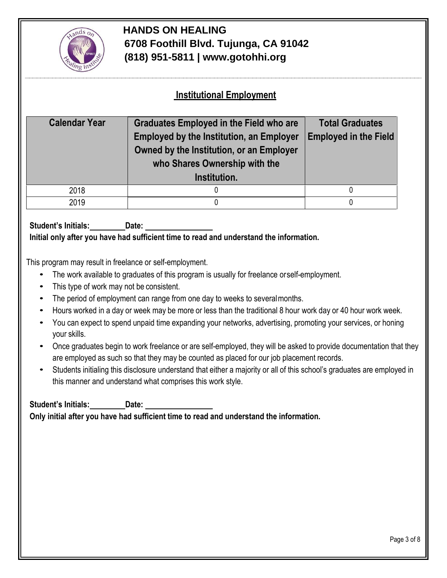

#### **Institutional Employment**

| <b>Calendar Year</b> | <b>Graduates Employed in the Field who are</b><br><b>Employed by the Institution, an Employer</b><br>Owned by the Institution, or an Employer<br>who Shares Ownership with the<br>Institution. | <b>Total Graduates</b><br><b>Employed in the Field</b> |  |
|----------------------|------------------------------------------------------------------------------------------------------------------------------------------------------------------------------------------------|--------------------------------------------------------|--|
| 2018                 |                                                                                                                                                                                                |                                                        |  |
| 2019                 |                                                                                                                                                                                                |                                                        |  |

**Student's Initials: Date: Initial only after you have had sufficient time to read and understand the information.**

This program may result in freelance or self-employment.

- The work available to graduates of this program is usually for freelance orself-employment.
- This type of work may not be consistent.
- The period of employment can range from one day to weeks to severalmonths.
- Hours worked in a day or week may be more or less than the traditional 8 hour work day or 40 hour work week.
- You can expect to spend unpaid time expanding your networks, advertising, promoting your services, or honing your skills.
- Once graduates begin to work freelance or are self-employed, they will be asked to provide documentation that they are employed as such so that they may be counted as placed for our job placement records.
- Students initialing this disclosure understand that either a majority or all of this school's graduates are employed in this manner and understand what comprises this work style.

**Student's Initials: Date: Only initial after you have had sufficient time to read and understand the information.**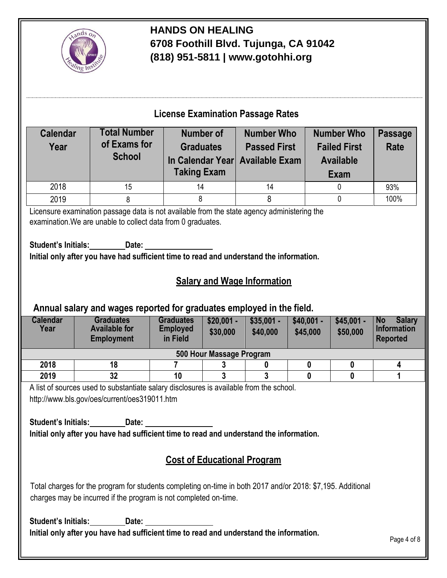

## **License Examination Passage Rates**

| <b>Calendar</b><br>Year | <b>Total Number</b><br>of Exams for<br><b>School</b> | <b>Number of</b><br><b>Graduates</b><br>In Calendar Year Available Exam<br><b>Taking Exam</b> | <b>Number Who</b><br><b>Passed First</b> | <b>Number Who</b><br><b>Failed First</b><br><b>Available</b><br>Exam | <b>Passage</b><br>Rate |
|-------------------------|------------------------------------------------------|-----------------------------------------------------------------------------------------------|------------------------------------------|----------------------------------------------------------------------|------------------------|
| 2018                    | 15                                                   | 14                                                                                            | 14                                       |                                                                      | 93%                    |
| 2019                    |                                                      |                                                                                               |                                          |                                                                      | 100%                   |

Licensure examination passage data is not available from the state agency administering the examination.We are unable to collect data from 0 graduates.

**Student's Initials: Date: Initial only after you have had sufficient time to read and understand the information.**

### **Salary and Wage Information**

#### **Annual salary and wages reported for graduates employed in the field.**

| <b>Calendar</b><br>Year  | <b>Graduates</b><br><b>Available for</b><br><b>Employment</b> | <b>Graduates</b><br><b>Employed</b><br>in Field | $$20,001 -$<br>\$30,000 | $$35,001 -$<br>\$40,000 | $$40,001 -$<br>\$45,000 | $$45,001 -$<br>\$50,000 | <b>Salary</b><br><b>No</b><br>Information<br><b>Reported</b> |
|--------------------------|---------------------------------------------------------------|-------------------------------------------------|-------------------------|-------------------------|-------------------------|-------------------------|--------------------------------------------------------------|
| 500 Hour Massage Program |                                                               |                                                 |                         |                         |                         |                         |                                                              |
| 2018                     | 18                                                            |                                                 |                         |                         |                         |                         |                                                              |
| 2019                     | 32                                                            | 10                                              |                         |                         |                         |                         |                                                              |

A list of sources used to substantiate salary disclosures is available from the school. <http://www.bls.gov/oes/current/oes319011.htm>

**Student's Initials: Date: Initial only after you have had sufficient time to read and understand the information.**

## **Cost of Educational Program**

Total charges for the program for students completing on-time in both 2017 and/or 2018: \$7,195. Additional charges may be incurred if the program is not completed on-time.

**Student's Initials:** Date: **Initial only after you have had sufficient time to read and understand the information.**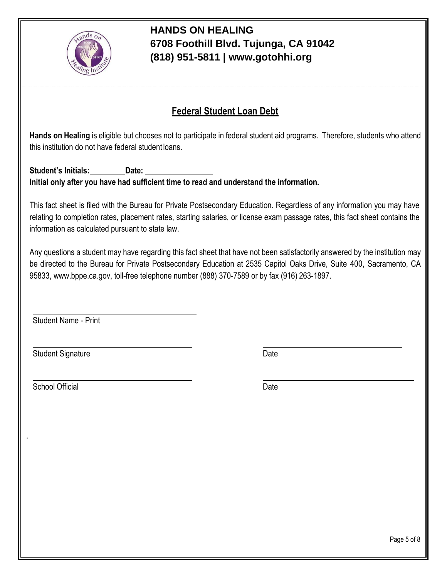

## **Federal Student Loan Debt**

**Hands on Healing** is eligible but chooses not to participate in federal student aid programs. Therefore, students who attend this institution do not have federal student loans.

**Student's Initials: Date: Initial only after you have had sufficient time to read and understand the information.**

This fact sheet is filed with the Bureau for Private Postsecondary Education. Regardless of any information you may have relating to completion rates, placement rates, starting salaries, or license exam passage rates, this fact sheet contains the information as calculated pursuant to state law.

Any questions a student may have regarding this fact sheet that have not been satisfactorily answered by the institution may be directed to the Bureau for Private Postsecondary Education at 2535 Capitol Oaks Drive, Suite 400, Sacramento, CA 95[833, www.bppe.ca.gov, t](http://www.bppe.ca.gov/)oll-free telephone number (888) 370-7589 or by fax (916) 263-1897.

Student Name - Print

Student Signature Date

School Official Date Date Control of the Date Date Date Date

.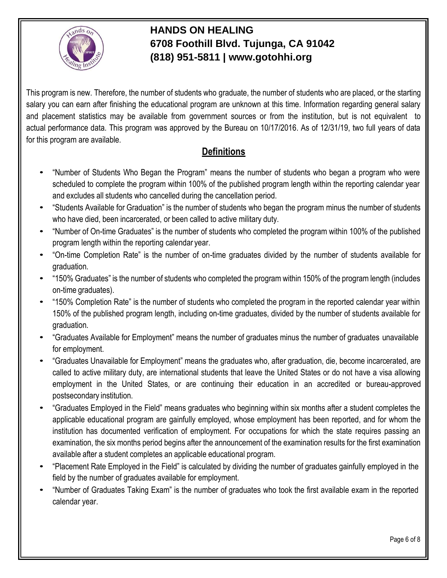

This program is new. Therefore, the number of students who graduate, the number of students who are placed, or the starting salary you can earn after finishing the educational program are unknown at this time. Information regarding general salary and placement statistics may be available from government sources or from the institution, but is not equivalent to actual performance data. This program was approved by the Bureau on 10/17/2016. As of 12/31/19, two full years of data for this program are available.

## **Definitions**

- "Number of Students Who Began the Program" means the number of students who began a program who were scheduled to complete the program within 100% of the published program length within the reporting calendar year and excludes all students who cancelled during the cancellation period.
- "Students Available for Graduation" is the number of students who began the program minus the number of students who have died, been incarcerated, or been called to active military duty.
- "Number of On-time Graduates" is the number of students who completed the program within 100% of the published program length within the reporting calendar year.
- "On-time Completion Rate" is the number of on-time graduates divided by the number of students available for graduation.
- "150% Graduates" is the number of students who completed the program within 150% of the program length (includes on-time graduates).
- "150% Completion Rate" is the number of students who completed the program in the reported calendar year within 150% of the published program length, including on-time graduates, divided by the number of students available for graduation.
- "Graduates Available for Employment" means the number of graduates minus the number of graduates unavailable for employment.
- "Graduates Unavailable for Employment" means the graduates who, after graduation, die, become incarcerated, are called to active military duty, are international students that leave the United States or do not have a visa allowing employment in the United States, or are continuing their education in an accredited or bureau-approved postsecondary institution.
- "Graduates Employed in the Field" means graduates who beginning within six months after a student completes the applicable educational program are gainfully employed, whose employment has been reported, and for whom the institution has documented verification of employment. For occupations for which the state requires passing an examination, the six months period begins after the announcement of the examination results for the first examination available after a student completes an applicable educational program.
- "Placement Rate Employed in the Field" is calculated by dividing the number of graduates gainfully employed in the field by the number of graduates available for employment.
- "Number of Graduates Taking Exam" is the number of graduates who took the first available exam in the reported calendar year.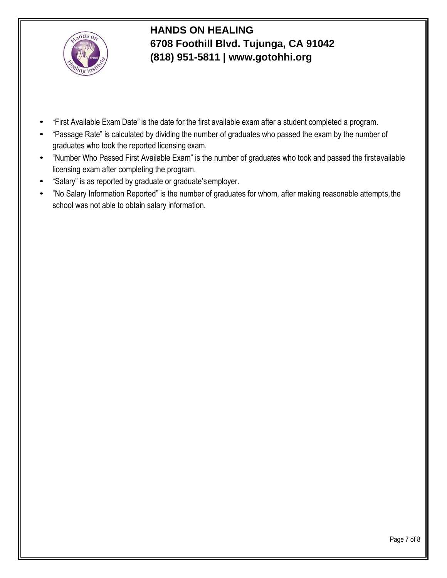

- "First Available Exam Date" is the date for the first available exam after a student completed a program.
- "Passage Rate" is calculated by dividing the number of graduates who passed the exam by the number of graduates who took the reported licensing exam.
- "Number Who Passed First Available Exam" is the number of graduates who took and passed the firstavailable licensing exam after completing the program.
- "Salary" is as reported by graduate or graduate'semployer.
- "No Salary Information Reported" is the number of graduates for whom, after making reasonable attempts,the school was not able to obtain salary information.